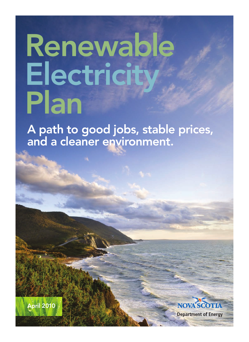# Renewable<br>Electricity Plan

A path to good jobs, stable prices, and a cleaner environment.



**Department of Energy**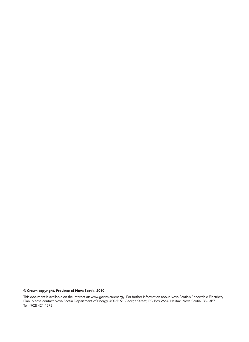#### © Crown copyright, Province of Nova Scotia, 2010

This document is available on the Internet at: www.gov.ns.ca/energy. For further information about Nova Scotia's Renewable Electricity Plan, please contact Nova Scotia Department of Energy, 400-5151 George Street, PO Box 2664, Halifax, Nova Scotia B3J 3P7. Tel: (902) 424-4575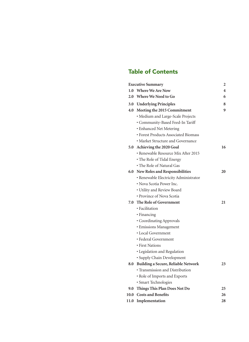#### Table of Contents

|      | <b>Executive Summary</b>              | 2  |
|------|---------------------------------------|----|
|      | 1.0 Where We Are Now                  | 4  |
| 2.0  | Where We Need to Go                   | 6  |
|      | 3.0 Underlying Principles             | 8  |
|      | 4.0 Meeting the 2015 Commitment       | 9  |
|      | · Medium and Large-Scale Projects     |    |
|      | · Community-Based Feed-In Tariff      |    |
|      | · Enhanced Net Metering               |    |
|      | • Forest Products Associated Biomass  |    |
|      | • Market Structure and Governance     |    |
| 5.0  | Achieving the 2020 Goal               | 16 |
|      | · Renewable Resource Mix After 2015   |    |
|      | · The Role of Tidal Energy            |    |
|      | • The Role of Natural Gas             |    |
|      | 6.0 New Roles and Responsibilities    | 20 |
|      | · Renewable Electricity Administrator |    |
|      | • Nova Scotia Power Inc.              |    |
|      | · Utility and Review Board            |    |
|      | · Province of Nova Scotia             |    |
| 7.0  | The Role of Government                | 21 |
|      | · Facilitation                        |    |
|      | • Financing                           |    |
|      | · Coordinating Approvals              |    |
|      | <b>· Emissions Management</b>         |    |
|      | • Local Government                    |    |
|      | · Federal Government                  |    |
|      | • First Nations                       |    |
|      | · Legislation and Regulation          |    |
|      | · Supply Chain Development            |    |
| 8.0  | Building a Secure, Reliable Network   | 23 |
|      | • Transmission and Distribution       |    |
|      | · Role of Imports and Exports         |    |
|      | · Smart Technologies                  |    |
| 9.0  | Things This Plan Does Not Do          | 25 |
| 10.0 | <b>Costs and Benefits</b>             | 26 |
| 11.0 | Implementation                        | 28 |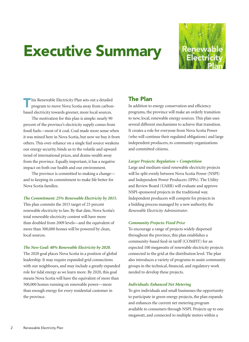### Executive Summary



Ihis Renewable Electricity Plan sets out a detailed program to move Nova Scotia away from carbonbased electricity towards greener, more local sources.

 The motivation for this plan is simple: nearly 90 percent of the province's electricity supply comes from fossil fuels—most of it coal. Coal made more sense when it was mined here in Nova Scotia, but now we buy it from others. This over-reliance on a single fuel source weakens our energy security, binds us to the volatile and upward trend of international prices, and drains wealth away from the province. Equally important, it has a negative impact on both our health and our environment.

 The province is committed to making a change and to keeping its commitment to make life better for Nova Scotia families.

#### *The Commitment: 25% Renewable Electricity by 2015.*

This plan commits the 2015 target of 25 percent renewable electricity to law. By that date, Nova Scotia's total renewable electricity content will have more than doubled from 2009 levels—and the equivalent of more than 300,000 homes will be powered by clean, local sources.

#### *The New Goal: 40% Renewable Electricity by 2020.*

The 2020 goal places Nova Scotia in a position of global leadership. It may require expanded grid connections with our neighbours, and may include a greatly expanded role for tidal energy as we learn more. By 2020, this goal means Nova Scotia will have the equivalent of more than 500,000 homes running on renewable power—more than enough energy for every residential customer in the province.

#### The Plan

In addition to energy conservation and efficiency programs, the province will make an orderly transition to new, local, renewable energy sources. This plan uses several different mechanisms to achieve that transition. It creates a role for everyone from Nova Scotia Power (who will continue their regulated obligations) and large independent producers, to community organizations and committed citizens.

#### *Larger Projects: Regulation + Competition*

Large and medium-sized renewable electricity projects will be split evenly between Nova Scotia Power (NSPI) and Independent Power Producers (IPPs). The Utility and Review Board (UARB) will evaluate and approve NSPI-sponsored projects in the traditional way. Independent producers will compete for projects in a bidding process managed by a new authority, the *Renewable Electricity Administrator*.

#### *Community Projects: Fixed Price*

To encourage a range of projects widely dispersed throughout the province, this plan establishes a community-based feed-in tariff (COMFIT) for an expected 100 megawatts of renewable electricity projects connected to the grid at the distribution level. The plan also introduces a variety of programs to assist community groups in the technical, financial, and regulatory work needed to develop these projects.

#### *Individuals: Enhanced Net Metering*

To give individuals and small businesses the opportunity to participate in green energy projects, the plan expands and enhances the current net metering program available to consumers through NSPI. Projects up to one megawatt, and connected to multiple meters within a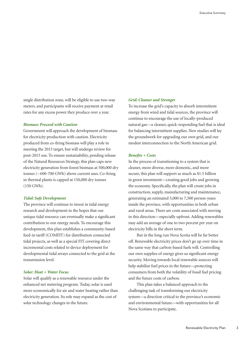single distribution zone, will be eligible to use two-way meters, and participants will receive payment at retail rates for any excess power they produce over a year.

#### *Biomass: Proceed with Caution*

Government will approach the development of biomass for electricity production with caution. Electricity produced from co-firing biomass will play a role in meeting the 2015 target, but will undergo review for post-2015 use. To ensure sustainability, pending release of the Natural Resources Strategy, this plan caps new electricity generation from forest biomass at 500,000 dry tonnes (~600-700 GWh) above current uses. Co-firing in thermal plants is capped at 150,000 dry tonnes (150 GWh).

#### *Tidal: Safe Development*

The province will continue to invest in tidal energy research and development in the hopes that our unique tidal resource can eventually make a significant contribution to our energy needs. To encourage this development, this plan establishes a community-based feed-in tariff (COMFIT) for distribution connected tidal projects, as well as a special FIT covering direct incremental costs related to device deployment for developmental tidal arrays connected to the grid at the transmission level.

#### *Solar: Heat + Water Focus*

Solar will qualify as a renewable resource under the enhanced net metering program. Today, solar is used more economically for air and water heating rather than electricity generation. Its role may expand as the cost of solar technology changes in the future.

#### *Grid: Cleaner and Stronger*

To increase the grid's capacity to absorb intermittent energy from wind and tidal sources, the province will continue to encourage the use of locally-produced natural gas—a cleaner, quick-responding fuel that is ideal for balancing intermittent supplies. New studies will lay the groundwork for upgrading our own grid, and our modest interconnection to the North American grid.

#### *Benefits + Costs*

In the process of transitioning to a system that is cleaner, more diverse, more domestic, and more secure, this plan will support as much as \$1.5 billion in green investment—creating good jobs and growing the economy. Specifically, the plan will create jobs in construction, supply, manufacturing and maintenance, generating an estimated 5,000 to 7,500 person-years inside the province, with opportunities in both urban and rural areas. There are costs associated with moving in this direction—especially upfront. Adding renewables may add an average of one to two percent per year on electricity bills in the short term.

 But in the long run Nova Scotia will be far better off. Renewable electricity prices don't go up over time in the same way that carbon-based fuels will. Controlling our own supplies of energy gives us significant energy security. Moving towards local renewable sources will help stabilize fuel prices in the future—protecting consumers from both the volatility of fossil fuel pricing and the future costs of carbon.

 This plan takes a balanced approach to the challenging task of transforming our electricity system—a direction critical to the province's economic and environmental future—with opportunities for all Nova Scotians to participate.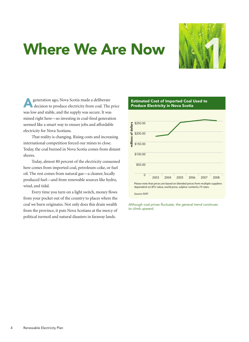### Where We Are Now



generation ago, Nova Scotia made a deliberate decision to produce electricity from coal. The price was low and stable, and the supply was secure. It was mined right here—so investing in coal-fired generation seemed like a smart way to ensure jobs and affordable electricity for Nova Scotians.

 That reality is changing. Rising costs and increasing international competition forced our mines to close. Today, the coal burned in Nova Scotia comes from distant shores.

 Today, almost 80 percent of the electricity consumed here comes from imported coal, petroleum-coke, or fuel oil. The rest comes from natural gas—a cleaner, locally produced fuel—and from renewable sources like hydro, wind, and tidal.

 Every time you turn on a light switch, money flows from your pocket out of the country to places where the coal we burn originates. Not only does this drain wealth from the province, it puts Nova Scotians at the mercy of political turmoil and natural disasters in faraway lands.



*Although coal prices fluctuate, the general trend continues to climb upward.*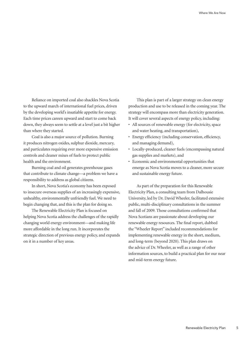Reliance on imported coal also shackles Nova Scotia to the upward march of international fuel prices, driven by the developing world's insatiable appetite for energy. Each time prices careen upward and start to come back down, they always seem to settle at a level just a bit higher than where they started.

 Coal is also a major source of pollution. Burning it produces nitrogen oxides, sulphur dioxide, mercury, and particulates requiring ever more expensive emission controls and cleaner mixes of fuels to protect public health and the environment.

 Burning coal and oil generates greenhouse gases that contribute to climate change—a problem we have a responsibility to address as global citizens.

 In short, Nova Scotia's economy has been exposed to insecure overseas supplies of an increasingly expensive, unhealthy, environmentally unfriendly fuel. We need to begin changing that, and this is the plan for doing so.

 The Renewable Electricity Plan is focused on helping Nova Scotia address the challenges of the rapidly changing world energy environment—and making life more affordable in the long run. It incorporates the strategic direction of previous energy policy, and expands on it in a number of key areas.

 This plan is part of a larger strategy on clean energy production and use to be released in the coming year. The strategy will encompass more than electricity generation. It will cover several aspects of energy policy, including:

- • All sources of renewable energy (for electricity, space and water heating, and transportation),
- • Energy efficiency (including conservation, efficiency, and managing demand),
- • Locally-produced, cleaner fuels (encompassing natural gas supplies and markets), and
- • Economic and environmental opportunities that emerge as Nova Scotia moves to a cleaner, more secure and sustainable energy future.

 As part of the preparation for this Renewable Electricity Plan, a consulting team from Dalhousie University, led by Dr. David Wheeler, facilitated extensive public, multi-disciplinary consultations in the summer and fall of 2009. Those consultations confirmed that Nova Scotians are passionate about developing our renewable energy resources. The final report, dubbed the "Wheeler Report" included recommendations for implementing renewable energy in the short, medium, and long-term (beyond 2020). This plan draws on the advice of Dr. Wheeler, as well as a range of other information sources, to build a practical plan for our near and mid-term energy future.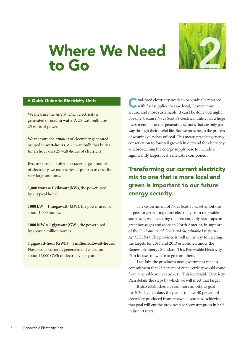# Where We Need Where We Need



#### A Quick Guide to Electricity Units

We measure the *rate* at which electricity is generated or used in **watts**.A 25-watt bulb uses 25 watts of power.

We measure the *amount* of electricity generated or used in **watt-hours**.A 25 watt bulb that burns for an hour uses 25 watt-hours of electricity.

Because this plan often discusses large amounts of electricity, we use a series of prefixes to describe very large amounts.

**1,000 watts = 1 kilowatt (kW)**, the power used by a typical home.

**1000 kW = 1 megawatt (MW)**, the power used by about 1,000 homes.

**1000 MW = 1 gigawatt (GW)**, the power used by about a million homes.

**1 gigawatt-hour (GWh) = 1 million kilowatt-hours**. Nova Scotia currently generates and consumes about 12,000 GWh of electricity per year.

oal-fired electricity needs to be gradually replaced with fuel supplies that are local, cleaner, more secure, and more sustainable. It can't be done overnight. For one, because Nova Scotia's electrical utility has a huge investment in thermal generating stations that are only part way through their useful life. But we must begin the process of weaning ourselves off coal.This means practicing energy conservation to forestall growth in demand for electricity, and broadening the energy supply base to include a significantly larger local, renewable component.

#### Transforming our current electricity mix to one that is more local and green is important to our future energy security.

 The Government of Nova Scotia has set ambitious targets for generating more electricity from renewable sources, as well as setting the first and only hard caps on greenhouse gas emissions in North America, in support of the *Environmental Goals and Sustainable Prosperity Act (EGSPA)*. The province is well on its way to meeting the targets for 2011 and 2013 established under the Renewable Energy Standard. This Renewable Electricity Plan focuses on where to go from there.

 Last July, the province's new government made a commitment that 25 percent of our electricity would come from renewable sources by 2015.This Renewable Electricity Plan details the steps by which we will meet that target.

 It also establishes an even more ambitious goal for 2020: by that date, the plan is to have 40 percent of electricity produced from renewable sources.Achieving that goal will cut the province's coal consumption in half in just 10 years.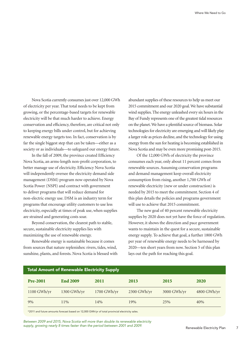Nova Scotia currently consumes just over 12,000 GWh of electricity per year. That total needs to be kept from growing, or the percentage-based targets for renewable electricity will be that much harder to achieve. Energy conservation and efficiency, therefore, are critical not only to keeping energy bills under control, but for achieving renewable energy targets too. In fact, conservation is by far the single biggest step that can be taken—either as a society or as individuals—to safeguard our energy future.

 In the fall of 2009, the province created Efficiency Nova Scotia, an arms-length non-profit corporation, to better manage use of electricity. Efficiency Nova Scotia will independently oversee the electricity demand side management (DSM) program now operated by Nova Scotia Power (NSPI) and contract with government to deliver programs that will reduce demand for non-electric energy use. DSM is an industry term for programs that encourage utility customers to use less electricity, especially at times of peak use, when supplies are strained and generating costs soar.

 Beyond conservation, the clearest path to stable, secure, sustainable electricity supplies lies with maximizing the use of renewable energy.

 Renewable energy is sustainable because it comes from sources that nature replenishes: rivers, tides, wind, sunshine, plants, and forests. Nova Scotia is blessed with

abundant supplies of these resources to help us meet our 2015 commitment and our 2020 goal.We have substantial wind supplies.The energy unleashed every six hours in the Bay of Fundy represents one of the greatest tidal resources on the planet.We have a plentiful source of biomass. Solar technologies for electricity are emerging and will likely play a larger role as prices decline, and the technology for using energy from the sun for heating is becoming established in Nova Scotia and may be even more promising post-2015.

 Of the 12,000 GWh of electricity the province consumes each year, only about 11 percent comes from renewable sources.Assuming conservation programs and demand management keep overall electricity consumption from rising, another 1,700 GWh of renewable electricity (new or under construction) is needed by 2015 to meet the commitment. Section 4 of this plan details the policies and programs government will use to achieve that 2015 commitment.

 The new goal of 40 percent renewable electricity supplies by 2020 does not yet have the force of regulation. However, it shows the direction and pace government wants to maintain in the quest for a secure, sustainable energy supply. To achieve that goal, a further 1800 GWh per year of renewable energy needs to be harnessed by 2020—ten short years from now. Section 5 of this plan lays out the path for reaching this goal.

| <b>Total Amount of Renewable Electricity Supply</b> |                 |             |             |               |               |  |  |  |
|-----------------------------------------------------|-----------------|-------------|-------------|---------------|---------------|--|--|--|
| <b>Pre-2001</b>                                     | <b>End 2009</b> | 2011        | 2013        | 2015          | <b>2020</b>   |  |  |  |
| 1100 GWh/yr                                         | 1300 GWh/yr     | 1700 GWh/yr | 2300 GWh/yr | $3000$ GWh/yr | $4800$ GWh/yr |  |  |  |
| 9%                                                  | $11\%$          | 14%         | 19%         | 25%           | 40%           |  |  |  |

\*2011 and future amounts forecast based on 12,000 GWh/yr of total provincial electricity sales.

*Between 2009 and 2015, Nova Scotia will more than double its renewable electricity supply, growing nearly 8 times faster than the period between 2001 and 2009.*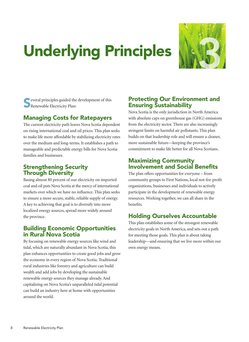### Underlying Principles 3



veveral principles guided the development of this Renewable Electricity Plan:

#### Managing Costs for Ratepayers

The current electricity path leaves Nova Scotia dependent on rising international coal and oil prices. This plan seeks to make life more affordable by stabilizing electricity rates over the medium and long-terms. It establishes a path to manageable and predictable energy bills for Nova Scotia families and businesses.

#### Strengthening Security Through Diversity

Basing almost 80 percent of our electricity on imported coal and oil puts Nova Scotia at the mercy of international markets over which we have no influence. This plan seeks to ensure a more secure, stable, reliable supply of energy. A key to achieving that goal is to diversify into more localized energy sources, spread more widely around the province.

#### Building Economic Opportunities in Rural Nova Scotia

By focusing on renewable energy sources like wind and tidal, which are naturally abundant in Nova Scotia, this plan enhances opportunities to create good jobs and grow the economy in every region of Nova Scotia. Traditional rural industries like forestry and agriculture can build wealth and add jobs by developing the sustainable renewable energy sources they manage already.And capitalizing on Nova Scotia's unparalleled tidal potential can build an industry here at home with opportunities around the world.

#### Protecting Our Environment and Ensuring Sustainability

Nova Scotia is the only jurisdiction in North America with absolute caps on greenhouse gas (GHG) emissions from the electricity sector. There are also increasingly stringent limits on harmful air pollutants. This plan builds on that leadership role and will ensure a cleaner, more sustainable future—keeping the province's commitment to make life better for all Nova Scotians.

#### Maximizing Community Involvement and Social Benefits

The plan offers opportunities for everyone – from community groups to First Nations, local not-for-profit organizations, businesses and individuals to actively participate in the development of renewable energy resources. Working together, we can all share in the benefits.

#### Holding Ourselves Accountable

This plan establishes some of the strongest renewable electricity goals in North America, and sets out a path for meeting those goals. This plan is about taking leadership—and ensuring that we live more within our own energy means.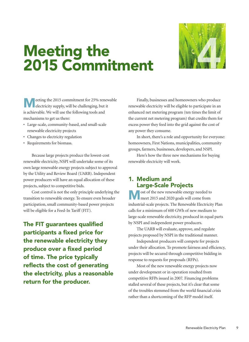

# Meeting the Meeting the<br>2015 Commitment

eeting the 2015 commitment for 25% renewable electricity supply, will be challenging, but it is achievable. We will use the following tools and mechanisms to get us there:

- Large-scale, community-based, and small-scale renewable electricity projects
- Changes to electricity regulation
- Requirements for biomass.

 Because large projects produce the lowest-cost renewable electricity, NSPI will undertake some of its own large renewable energy projects subject to approval by the Utility and Review Board (UARB). Independent power producers will have an equal allocation of these projects, subject to competitive bids.

 Cost control is not the only principle underlying the transition to renewable energy. To ensure even broader participation, small community-based power projects will be eligible for a Feed-In Tariff (FIT).

The FIT guarantees qualified participants a fixed price for the renewable electricity they produce over a fixed period of time. The price typically reflects the cost of generating the electricity, plus a reasonable return for the producer.

 Finally, businesses and homeowners who produce renewable electricity will be eligible to participate in an enhanced net metering program (ten times the limit of the current net metering program) that credits them for excess power they feed into the grid against the cost of any power they consume.

 In short, there's a role and opportunity for everyone: homeowners, First Nations, municipalities, community groups, farmers, businesses, developers, and NSPI.

 Here's how the three new mechanisms for buying renewable electricity will work.

#### 1. Medium and Large-Scale Projects

Most of the new renewable energy needed to meet 2015 and 2020 goals will come from industrial-scale projects. The Renewable Electricity Plan calls for a minimum of 600 GWh of new medium to large-scale renewable electricity, produced in equal parts by NSPI and independent power producers.

 The UARB will evaluate, approve, and regulate projects proposed by NSPI in the traditional manner.

 Independent producers will compete for projects under their allocation. To promote fairness and efficiency, projects will be secured through competitive bidding in response to requests for proposals (RFPs).

 Most of the new renewable energy projects now under development or in operation resulted from competitive RFPs issued in 2007. Financing problems stalled several of these projects, but it's clear that some of the troubles stemmed from the world financial crisis rather than a shortcoming of the RFP model itself.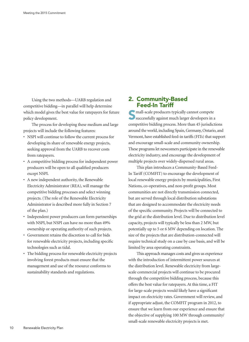Using the two methods—UARB regulation and competitive bidding—in parallel will help determine which model gives the best value for ratepayers for future policy development.

 The process for developing these medium and large projects will include the following features:

- NSPI will continue to follow the current process for developing its share of renewable energy projects, seeking approval from the UARB to recover costs from ratepayers.
- • A competitive bidding process for independent power producers will be open to all qualified producers except NSPI.
- • A new independent authority, the Renewable Electricity Administrator (REA), will manage the competitive bidding processes and select winning projects.(The role of the Renewable Electricity Administrator is described more fully in Section 7 of the plan.)
- Independent power producers can form partnerships with NSPI, but NSPI can have no more than 49% ownership or operating authority of such projects.
- • Government retains the discretion to call for bids for renewable electricity projects, including specific technologies such as tidal.
- • The bidding process for renewable electricity projects involving forest products must ensure that the management and use of the resource conforms to sustainability standards and regulations.

#### 2. Community-Based Feed-In Tariff

 $\blacksquare$  mall-scale producers typically cannot compete successfully against much larger developers in a competitive bidding process. More than 45 jurisdictions around the world, including Spain, Germany, Ontario, and Vermont, have established feed-in tariffs (FITs) that support and encourage small-scale and community ownership. These programs let newcomers participate in the renewable electricity industry, and encourage the development of multiple projects over widely-dispersed rural areas.

 This plan introduces a Community-Based Feed-In Tariff (COMFIT) to encourage the development of local renewable energy projects by municipalities, First Nations, co-operatives, and non-profit groups. Most communities are not directly transmission connected, but are served through local distribution substations that are designed to accommodate the electricity needs of the specific community. Projects will be connected to the grid at the distribution level. Due to distribution level capacity, projects will typically be less than 2 MW, but potentially up to 5 or 6 MW depending on location. The size of the projects that are distribution-connected will require technical study on a case by case basis, and will be limited by area operating constraints.

 This approach manages costs and gives us experience with the introduction of intermittent power sources at the distribution level. Renewable electricity from largescale commercial projects will continue to be procured through the competitive bidding process, because this offers the best value for ratepayers.At this time, a FIT for large-scale projects would likely have a significant impact on electricity rates. Government will review, and if appropriate adjust, the COMFIT program in 2012, to ensure that we learn from our experience and ensure that the objective of supplying 100 MW through community/ small-scale renewable electricity projects is met.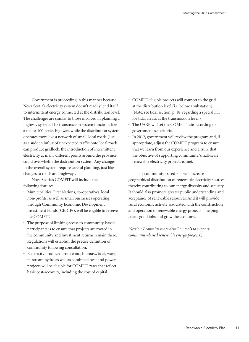Government is proceeding in this manner because Nova Scotia's electricity system doesn't readily lend itself to intermittent energy connected at the distribution level. The challenges are similar to those involved in planning a highway system. The transmission system functions like a major 100-series highway, while the distribution system operates more like a network of small, local roads. Just as a sudden influx of unexpected traffic onto local roads can produce gridlock, the introduction of intermittent electricity at many different points around the province could overwhelm the distribution system.Any changes in the overall system require careful planning, just like changes to roads and highways.

 Nova Scotia's COMFIT will include the following features:

- • Municipalities, First Nations, co-operatives, local non-profits, as well as small businesses operating through Community Economic Development Investment Funds (CEDIFs), will be eligible to receive the COMFIT.
- • The purpose of limiting access to community-based participants is to ensure that projects are rooted in the community and investment returns remain there. Regulations will establish the precise definition of community following consultation.
- • Electricity produced from wind, biomass, tidal, wave, in-stream hydro as well as combined heat and power projects will be eligible for COMFIT rates that reflect basic cost-recovery, including the cost of capital.
- • COMFIT-eligible projects will connect to the grid at the distribution level (i.e. below a substation). (Note: see tidal section, p. 18, regarding a special FIT for tidal arrays at the transmission level.)
- • The UARB will set the COMFIT rate according to government-set criteria.
- In 2012, government will review the program and, if appropriate, adjust the COMFIT program to ensure that we learn from our experience and ensure that the objective of supporting community/small-scale renewable electricity projects is met.

 The community-based FIT will increase geographical distribution of renewable electricity sources, thereby contributing to our energy diversity and security. It should also promote greater public understanding and acceptance of renewable resources.And it will provide rural economic activity associated with the construction and operation of renewable energy projects—helping create good jobs and grow the economy.

*(Section 7 contains more detail on tools to support community-based renewable energy projects.)*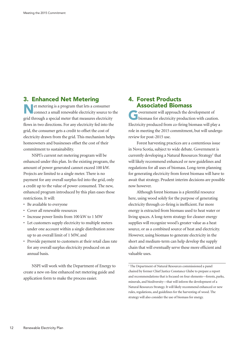#### 3. Enhanced Net Metering

Net metering is <sup>a</sup> program that lets <sup>a</sup> consumer connect a small renewable electricity source to the grid through a special meter that measures electricity flows in two directions. For any electricity fed into the grid, the consumer gets a credit to offset the cost of electricity drawn from the grid. This mechanism helps homeowners and businesses offset the cost of their commitment to sustainability.

 NSPI's current net metering program will be enhanced under this plan. In the existing program, the amount of power generated cannot exceed 100 kW. Projects are limited to a single meter. There is no payment for any overall surplus fed into the grid, only a credit up to the value of power consumed. The new, enhanced program introduced by this plan eases those restrictions. It will:

- • Be available to everyone
- • Cover all renewable resources
- • Increase power limits from 100 kW to 1 MW
- • Let customers supply electricity to multiple meters under one account within a single distribution zone up to an overall limit of 1 MW, and
- Provide payment to customers at their retail class rate for any overall surplus electricity produced on an annual basis.

 NSPI will work with the Department of Energy to create a new on-line enhanced net metering guide and application form to make the process easier.

#### 4. Forest Products Associated Biomass

Government will approach the development of biomass for electricity production with caution. Electricity produced from co-firing biomass will play a role in meeting the 2015 commitment, but will undergo review for post-2015 use.

 Forest harvesting practices are a contentious issue in Nova Scotia, subject to wide debate. Government is currently developing a Natural Resources Strategy<sup>1</sup> that will likely recommend enhanced or new guidelines and regulations for all uses of biomass. Long-term planning for generating electricity from forest biomass will have to await that strategy. Prudent interim decisions are possible now however.

 Although forest biomass is a plentiful resource here, using wood solely for the purpose of generating electricity through co-firing is inefficient. Far more energy is extracted from biomass used to heat water or living spaces.A long-term strategy for cleaner energy supplies will recognize wood's greater value as a heat source, or as a combined source of heat and electricity. However, using biomass to generate electricity in the short and medium-term can help develop the supply chain that will eventually serve these more efficient and valuable uses.

<sup>&</sup>lt;sup>1</sup> The Department of Natural Resources commissioned a panel chaired by former Chief Justice Constance Glube to prepare a report and recommendations that is focused on four elements—forests, parks, minerals, and biodiversity—that will inform the development of a Natural Resources Strategy. It will likely recommend enhanced or new rules, regulations, and guidelines for the harvesting of wood. The strategy will also consider the use of biomass for energy.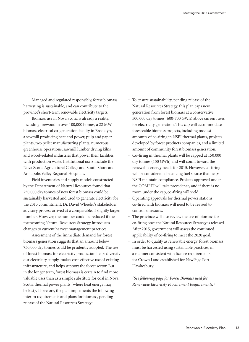Managed and regulated responsibly, forest biomass harvesting is sustainable, and can contribute to the province's short-term renewable electricity targets.

 Biomass use in Nova Scotia is already a reality, including firewood in over 100,000 homes, a 22 MW biomass electrical co-generation facility in Brooklyn, a sawmill producing heat and power, pulp and paper plants, two pellet manufacturing plants, numerous greenhouse operations, sawmill lumber drying kilns and wood-related industries that power their facilities with production waste. Institutional users include the Nova Scotia Agricultural College and South Shore and Annapolis Valley Regional Hospitals.

 Field inventories and supply models constructed by the Department of Natural Resources found that 750,000 dry tonnes of new forest biomass could be sustainably harvested and used to generate electricity for the 2015 commitment. Dr. David Wheeler's stakeholder advisory process arrived at a comparable, if slightly larger, number. However, the number could be reduced if the forthcoming Natural Resources Strategy introduces changes to current harvest management practices.

 Assessment of the immediate demand for forest biomass generation suggests that an amount below 750,000 dry tonnes could be prudently adopted. The use of forest biomass for electricity production helps diversify our electricity supply, makes cost-effective use of existing infrastructure, and helps support the forest sector. But in the longer term, forest biomass is certain to find more valuable uses than as a simple substitute for coal in Nova Scotia thermal power plants (where heat energy may be lost). Therefore, the plan implements the following interim requirements and plans for biomass, pending release of the Natural Resources Strategy:

- • To ensure sustainability, pending release of the Natural Resources Strategy, this plan caps new generation from forest biomass at a conservative 500,000 dry tonnes (600-700 GWh) above current uses for electricity generation. This cap will accommodate foreseeable biomass projects, including modest amounts of co-firing in NSPI thermal plants, projects developed by forest products companies, and a limited amount of community forest biomass generation.
- • Co-firing in thermal plants will be capped at 150,000 dry tonnes (150 GWh) and will count toward the renewable energy needs for 2015. However, co-firing will be considered a balancing fuel source that helps NSPI maintain compliance. Projects approved under the COMFIT will take precedence, and if there is no room under the cap, co-firing will yield.
- • Operating approvals for thermal power stations co-fired with biomass will need to be revised to control emissions.
- • The province will also review the use of biomass for co-firing once the Natural Resources Strategy is released. After 2015, government will assess the continued applicability of co-firing to meet the 2020 goal.
- In order to qualify as renewable energy, forest biomass must be harvested using sustainable practices, in a manner consistent with license requirements for Crown Land established for NewPage Port Hawkesbury.

(*See following page for Forest Biomass used for Renewable Electricity Procurement Requirements.)*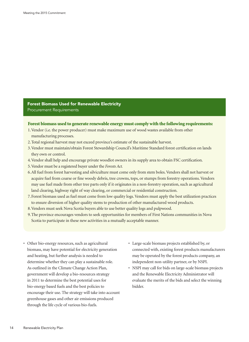Forest Biomass Used for Renewable Electricity Procurement Requirements

#### Forest biomass used to generate renewable energy must comply with the following requirements:

- 1. Vendor (i.e. the power producer) must make maximum use of wood wastes available from other manufacturing processes.
- 2. Total regional harvest may not exceed province's estimate of the sustainable harvest.
- 3. Vendor must maintain/obtain Forest Stewardship Council's Maritime Standard forest certification on lands they own or control.
- 4. Vendor shall help and encourage private woodlot owners in its supply area to obtain FSC certification.
- 5. Vendor must be a registered buyer under the *Forests Act.*
- 6. All fuel from forest harvesting and silviculture must come only from stem boles.Vendors shall not harvest or acquire fuel from coarse or fine woody debris, tree crowns, tops, or stumps from forestry operations. Vendors may use fuel made from other tree parts only if it originates in a non-forestry operation, such as agricultural land clearing, highway right of way clearing, or commercial or residential construction.
- 7. Forest biomass used as fuel must come from low quality logs.Vendors must apply the best utilization practices to ensure diversion of higher quality stems to production of other manufactured wood products.
- 8. Vendors must seek Nova Scotia buyers able to use better quality logs and pulpwood.
- 9. The province encourages vendors to seek opportunities for members of First Nations communities in Nova Scotia to participate in these new activities in a mutually acceptable manner.
- Other bio-energy resources, such as agricultural biomass, may have potential for electricity generation and heating, but further analysis is needed to determine whether they can play a sustainable role. As outlined in the Climate Change Action Plan, government will develop a bio-resources strategy in 2011 to determine the best potential uses for bio-energy based fuels and the best policies to encourage their use. The strategy will take into account greenhouse gases and other air emissions produced through the life cycle of various bio-fuels.
- • Large-scale biomass projects established by, or connected with, existing forest products manufacturers may be operated by the forest products company, an independent non-utility partner, or by NSPI.
- • NSPI may call for bids on large-scale biomass projects and the Renewable Electricity Administrator will evaluate the merits of the bids and select the winning bidder.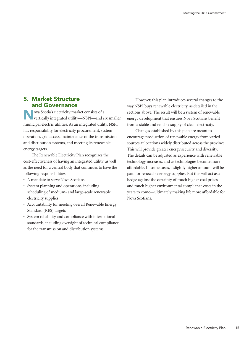#### 5. Market Structure and Governance

lova Scotia's electricity market consists of a vertically integrated utility—NSPI—and six smaller municipal electric utilities.As an integrated utility, NSPI has responsibility for electricity procurement, system operation, grid access, maintenance of the transmission and distribution systems, and meeting its renewable energy targets.

 The Renewable Electricity Plan recognizes the cost-effectiveness of having an integrated utility, as well as the need for a central body that continues to have the following responsibilities:

- • A mandate to serve Nova Scotians
- • System planning and operations, including scheduling of medium- and large-scale renewable electricity supplies
- • Accountability for meeting overall Renewable Energy Standard (RES) targets
- • System reliability and compliance with international standards, including oversight of technical compliance for the transmission and distribution systems.

 However, this plan introduces several changes to the way NSPI buys renewable electricity, as detailed in the sections above. The result will be a system of renewable energy development that ensures Nova Scotians benefit from a stable and reliable supply of clean electricity.

 Changes established by this plan are meant to encourage production of renewable energy from varied sources at locations widely distributed across the province. This will provide greater energy security and diversity. The details can be adjusted as experience with renewable technology increases, and as technologies become more affordable. In some cases, a slightly higher amount will be paid for renewable energy supplies. But this will act as a hedge against the certainty of much higher coal prices and much higher environmental compliance costs in the years to come—ultimately making life more affordable for Nova Scotians.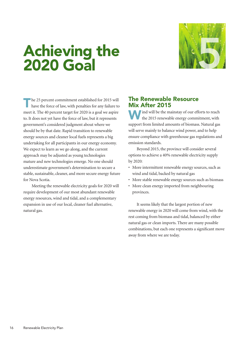# Achieving the Achieving the<br>2020 Goal



The 25 percent commitment established for 2015 will have the force of law, with penalties for any failure to meet it. The 40 percent target for 2020 is a goal we aspire to. It does not yet have the force of law, but it represents government's considered judgment about where we should be by that date. Rapid transition to renewable energy sources and cleaner local fuels represents a big undertaking for all participants in our energy economy. We expect to learn as we go along, and the current approach may be adjusted as young technologies mature and new technologies emerge. No one should underestimate government's determination to secure a stable, sustainable, cleaner, and more secure energy future for Nova Scotia.

 Meeting the renewable electricity goals for 2020 will require development of our most abundant renewable energy resources, wind and tidal, and a complementary expansion in use of our local, cleaner fuel alternative, natural gas.

#### The Renewable Resource Mix After 2015

will be the mainstay of our efforts to reach the 2015 renewable energy commitment, with support from limited amounts of biomass. Natural gas will serve mainly to balance wind power, and to help ensure compliance with greenhouse gas regulations and emission standards.

 Beyond 2015, the province will consider several options to achieve a 40% renewable electricity supply by 2020:

- More intermittent renewable energy sources, such as wind and tidal, backed by natural gas
- More stable renewable energy sources such as biomass
- More clean energy imported from neighbouring provinces.

 It seems likely that the largest portion of new renewable energy in 2020 will come from wind, with the rest coming from biomass and tidal, balanced by either natural gas or clean imports. There are many possible combinations, but each one represents a significant move away from where we are today.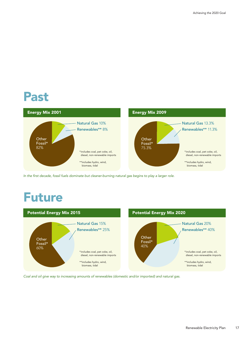### Past



In the first decade, fossil fuels dominate but cleaner-burning natural gas begins to play a larger role.

### Future



*Coal and oil give way to increasing amounts of renewables (domestic and/or imported) and natural gas.*

Renewable Electricity Plan 17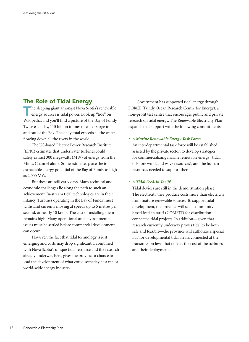#### The Role of Tidal Energy

The sleeping giant amongst Nova Scotia's renewable<br>
energy sources is tidal power. Look up "tide" on Wikipedia, and you'll find a picture of the Bay of Fundy. Twice each day, 115 billion tonnes of water surge in and out of the Bay. The daily total exceeds all the water flowing down all the rivers in the world.

 The US-based Electric Power Research Institute (EPRI) estimates that underwater turbines could safely extract 300 megawatts (MW) of energy from the Minas Channel alone. Some estimates place the total extractable energy potential of the Bay of Fundy as high as 2,000 MW.

 But these are still early days. Many technical and economic challenges lie along the path to such an achievement. In-stream tidal technologies are in their infancy. Turbines operating in the Bay of Fundy must withstand currents moving at speeds up to 5 metres per second, or nearly 10 knots. The cost of installing them remains high. Many operational and environmental issues must be settled before commercial development can occur.

 However, the fact that tidal technology is just emerging and costs may drop significantly, combined with Nova Scotia's unique tidal resource and the research already underway here, gives the province a chance to lead the development of what could someday be a major world-wide energy industry.

 Government has supported tidal energy through FORCE (Fundy Ocean Research Centre for Energy), a non-profit test centre that encourages public and private research on tidal energy. The Renewable Electricity Plan expands that support with the following commitments:

#### *• A Marine Renewable Energy Task Force:*

An interdepartmental task force will be established, assisted by the private sector, to develop strategies for commercializing marine renewable energy (tidal, offshore wind, and wave resources), and the human resources needed to support them.

#### *• A Tidal Feed-In Tariff:*

Tidal devices are still in the demonstration phase. The electricity they produce costs more than electricity from mature renewable sources. To support tidal development, the province will set a communitybased feed-in tariff (COMFIT) for distribution connected tidal projects. In addition—given that research currently underway proves tidal to be both safe and feasible—the province will authorize a special FIT for developmental tidal arrays connected at the transmission level that reflects the cost of the turbines and their deployment.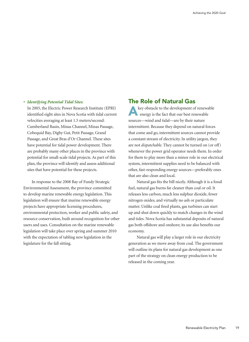#### *• Identifying Potential Tidal Sites:*

In 2005, the Electric Power Research Institute (EPRI) identified eight sites in Nova Scotia with tidal current velocities averaging at least 1.5 meters/second: Cumberland Basin, Minas Channel, Minas Passage, Cobequid Bay, Digby Gut, Petit Passage, Grand Passage, and Great Bras d'Or Channel. These sites have potential for tidal power development. There are probably many other places in the province with potential for small-scale tidal projects.As part of this plan, the province will identify and assess additional sites that have potential for these projects.

 In response to the 2008 Bay of Fundy Strategic Environmental Assessment, the province committed to develop marine renewable energy legislation. This legislation will ensure that marine renewable energy projects have appropriate licensing procedures, environmental protection, worker and public safety, and resource conservation, built around recognition for other users and uses. Consultation on the marine renewable legislation will take place over spring and summer 2010 with the expectation of tabling new legislation in the legislature for the fall sitting.

#### The Role of Natural Gas

key obstacle to the development of renewable energy is the fact that our best renewable sources—wind and tidal—are by their nature intermittent. Because they depend on natural forces that come and go, intermittent sources cannot provide a constant stream of electricity. In utility jargon, they are not *dispatchable*. They cannot be turned on (or off) whenever the power grid operator needs them. In order for them to play more than a minor role in our electrical system, intermittent supplies need to be balanced with other, fast-responding energy sources—preferably ones that are also clean and local.

 Natural gas fits the bill nicely.Although it is a fossil fuel, natural gas burns far cleaner than coal or oil. It releases less carbon, much less sulphur dioxide, fewer nitrogen oxides, and virtually no ash or particulate matter. Unlike coal fired plants, gas turbines can start up and shut down quickly to match changes in the wind and tides. Nova Scotia has substantial deposits of natural gas both offshore and onshore; its use also benefits our economy.

 Natural gas will play a larger role in our electricity generation as we move away from coal. The government will outline its plans for natural gas development as one part of the strategy on clean energy production to be released in the coming year.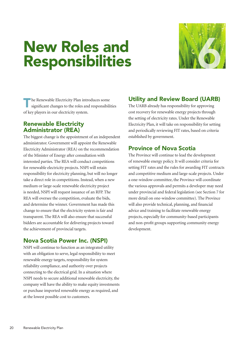### New Roles and Responsibilities



**The Renewable Electricity Plan introduces some** significant changes to the roles and responsibilities of key players in our electricity system.

#### Renewable Electricity Administrator (REA)

The biggest change is the appointment of an independent administrator. Government will appoint the Renewable Electricity Administrator (REA) on the recommendation of the Minister of Energy after consultation with interested parties. The REA will conduct competitions for renewable electricity projects. NSPI will retain responsibility for electricity planning, but will no longer take a direct role in competitions. Instead, when a new medium or large-scale renewable electricity project is needed, NSPI will request issuance of an RFP. The REA will oversee the competition, evaluate the bids, and determine the winner. Government has made this change to ensure that the electricity system is fair and transparent. The REA will also ensure that successful bidders are accountable for delivering projects toward the achievement of provincial targets.

#### Nova Scotia Power Inc. (NSPI)

NSPI will continue to function as an integrated utility with an obligation to serve, legal responsibility to meet renewable energy targets, responsibility for system reliability compliance, and authority over projects connecting to the electrical grid. In a situation where NSPI needs to secure additional renewable electricity, the company will have the ability to make equity investments or purchase imported renewable energy as required, and at the lowest possible cost to customers.

#### Utility and Review Board (UARB)

The UARB already has responsibility for approving cost recovery for renewable energy projects through the setting of electricity rates. Under the Renewable Electricity Plan, it will take on responsibility for setting and periodically reviewing FIT rates, based on criteria established by government.

#### Province of Nova Scotia

The Province will continue to lead the development of renewable energy policy. It will consider criteria for setting FIT rates and the rules for awarding FIT contracts and competitive medium and large-scale projects. Under a one-window committee, the Province will coordinate the various approvals and permits a developer may need under provincial and federal legislation (see Section 7 for more detail on one-window committee). The Province will also provide technical, planning, and financial advice and training to facilitate renewable energy projects, especially for community-based participants and non-profit groups supporting community energy development.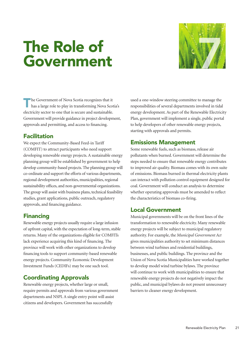# The Role of The Role of<br>Government



The Government of Nova Scotia recognizes that it has a large role to play in transforming Nova Scotia's electricity sector to one that is secure and sustainable. Government will provide guidance in project development, approvals and permitting, and access to financing.

#### **Facilitation**

We expect the Community-Based Feed-in Tariff (COMFIT) to attract participants who need support developing renewable energy projects. A sustainable energy planning group will be established by government to help develop community-based projects.The planning group will co-ordinate and support the efforts of various departments, regional development authorities, municipalities, regional sustainability offices, and non-governmental organizations. The group will assist with business plans, technical feasibility studies, grant applications, public outreach, regulatory approvals, and financing guidance.

#### Financing

Renewable energy projects usually require a large infusion of upfront capital, with the expectation of long-term, stable returns. Many of the organizations eligible for COMFITs lack experience acquiring this kind of financing. The province will work with other organizations to develop financing tools to support community-based renewable energy projects. Community Economic Development Investment Funds (CEDIFs) may be one such tool.

#### Coordinating Approvals

Renewable energy projects, whether large or small, require permits and approvals from various government departments and NSPI.A single entry point will assist citizens and developers. Government has successfully

used a one-window steering committee to manage the responsibilities of several departments involved in tidal energy development.As part of the Renewable Electricity Plan, government will implement a single, public portal to help developers of other renewable energy projects, starting with approvals and permits.

#### Emissions Management

Some renewable fuels, such as biomass, release air pollutants when burned. Government will determine the steps needed to ensure that renewable energy contributes to improved air quality. Biomass comes with its own suite of emissions. Biomass burned in thermal electricity plants can interact with pollution control equipment designed for coal. Government will conduct an analysis to determine whether operating approvals must be amended to reflect the characteristics of biomass co-firing.

#### Local Government

Municipal governments will be on the front lines of the transformation to renewable electricity. Many renewable energy projects will be subject to municipal regulatory authority. For example, the *Municipal Government Act* gives municipalities authority to set minimum distances between wind turbines and residential buildings, businesses, and public buildings. The province and the Union of Nova Scotia Municipalities have worked together to develop model wind turbine bylaws. The province will continue to work with municipalities to ensure that renewable energy projects do not negatively impact the public, and municipal bylaws do not present unnecessary barriers to cleaner energy development.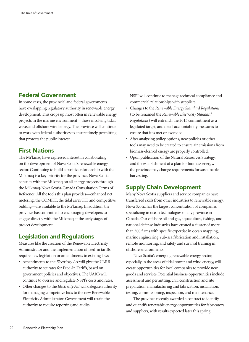#### Federal Government

In some cases, the provincial and federal governments have overlapping regulatory authority in renewable energy development. This crops up most often in renewable energy projects in the marine environment—those involving tidal, wave, and offshore wind energy. The province will continue to work with federal authorities to ensure timely permitting that protects the public interest.

#### First Nations

The Mi'kmaq have expressed interest in collaborating on the development of Nova Scotia's renewable energy sector. Continuing to build a positive relationship with the Mi'kmaq is a key priority for the province. Nova Scotia consults with the Mi'kmaq on all energy projects through the Mi'kmaq-Nova Scotia-Canada Consultation Terms of Reference.All the tools this plan provides—enhanced net metering, the COMFIT, the tidal array FIT and competitive bidding—are available to the Mi'kmaq.In addition, the province has committed to encouraging developers to engage directly with the Mi'kmaq at the early stages of project development.

#### Legislation and Regulations

Measures like the creation of the Renewable Electricity Administrator and the implementation of feed-in tariffs require new legislation or amendments to existing laws.

- • Amendments to the *Electricity Act* will give the UARB authority to set rates for Feed-In Tariffs, based on government policies and objectives. The UARB will continue to oversee and regulate NSPI's costs and rates.
- • Other changes to the *Electricity Act* will delegate authority for managing competitive bids to the new Renewable Electricity Administrator. Government will retain the authority to require reporting and audits.

NSPI will continue to manage technical compliance and commercial relationships with suppliers.

- • Changes to the *Renewable Energy Standard Regulations*  (to be renamed the *Renewable Electricity Standard Regulations*) will entrench the 2015 commitment as a legislated target, and detail accountability measures to ensure that it is met or exceeded.
- After analyzing policy options, new policies or other tools may need to be created to ensure air emissions from biomass-derived energy are properly controlled.
- • Upon publication of the Natural Resources Strategy, and the establishment of a plan for biomass energy, the province may change requirements for sustainable harvesting.

#### Supply Chain Development

Many Nova Scotia suppliers and service companies have transferred skills from other industries to renewable energy. Nova Scotia has the largest concentration of companies specializing in ocean technologies of any province in Canada. Our offshore oil and gas, aquaculture, fishing, and national defense industries have created a cluster of more than 300 firms with specific expertise in ocean mapping, marine engineering, sub-sea fabrication and installation, remote monitoring, and safety and survival training in offshore environments.

 Nova Scotia's emerging renewable energy sector, especially in the areas of tidal power and wind energy, will create opportunities for local companies to provide new goods and services. Potential business opportunities include assessment and permitting, civil construction and site preparation, manufacturing and fabrication, installation, testing, commissioning, inspection, and maintenance.

 The province recently awarded a contract to identify and quantify renewable energy opportunities for fabricators and suppliers, with results expected later this spring.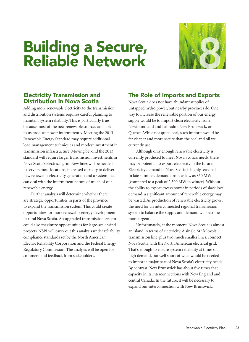# Building a Secure, **Building a Secure,<br>Reliable Network**



#### Electricity Transmission and Distribution in Nova Scotia

Adding more renewable electricity to the transmission and distribution systems requires careful planning to maintain system reliability. This is particularly true because most of the new renewable sources available to us produce power intermittently. Meeting the 2013 Renewable Energy Standard may require additional load management techniques and modest investment in transmission infrastructure. Moving beyond the 2013 standard will require larger transmission investments in Nova Scotia's electrical grid. New lines will be needed to serve remote locations, increased capacity to deliver new renewable electricity generation and a system that can deal with the intermittent nature of much of our renewable energy.

 Further analysis will determine whether there are strategic opportunities in parts of the province to expand the transmission system. This could create opportunities for more renewable energy development in rural Nova Scotia.An upgraded transmission system could also maximize opportunities for large-scale wind projects. NSPI will carry out this analysis under reliability compliance standards set by the North American Electric Reliability Corporation and the Federal Energy Regulatory Commission. The analysis will be open for comment and feedback from stakeholders.

#### The Role of Imports and Exports

Nova Scotia does not have abundant supplies of untapped hydro power, but nearby provinces do. One way to increase the renewable portion of our energy supply would be to import clean electricity from Newfoundland and Labrador, New Brunswick, or Quebec. While not quite local, such imports would be far cleaner and more secure than the coal and oil we currently use.

 Although only enough renewable electricity is currently produced to meet Nova Scotia's needs, there may be potential to export electricity in the future. Electricity demand in Nova Scotia is highly seasonal. In late summer, demand drops as low as 850 MW (compared to a peak of 2,300 MW in winter). Without the ability to export excess power in periods of slack local demand, a significant amount of renewable energy may be wasted.As production of renewable electricity grows, the need for an interconnected regional transmission system to balance the supply and demand will become more urgent.

 Unfortunately, at the moment, Nova Scotia is almost an island in terms of electricity.A single 345 kilovolt transmission line, plus two much smaller lines, connect Nova Scotia with the North American electrical grid. That's enough to ensure system reliability at times of high demand, but well short of what would be needed to import a major part of Nova Scotia's electricity needs. By contrast, New Brunswick has about five times that capacity in its interconnections with New England and central Canada. In the future, it will be necessary to expand our interconnection with New Brunswick.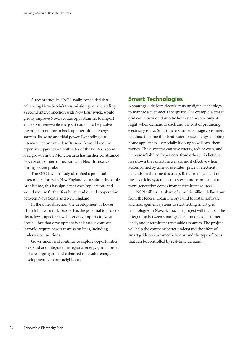A recent study by SNC Lavalin concluded that enhancing Nova Scotia's transmission grid, and adding a second interconnection with New Brunswick, would greatly improve Nova Scotia's opportunities to import and export renewable energy. It could also help solve the problem of how to back up intermittent energy sources like wind and tidal power. Expanding our interconnection with New Brunswick would require expensive upgrades on both sides of the border. Recent load growth in the Moncton area has further constrained Nova Scotia's interconnection with New Brunswick during system peaks.

 The SNC Lavalin study identified a potential interconnection with New England via a submarine cable. At this time, this has significant cost implications and would require further feasibility studies and cooperation between Nova Scotia and New England.

 In the other direction, the development of Lower Churchill Hydro in Labrador has the potential to provide clean, low-impact renewable energy imports to Nova Scotia—but that development is at least six years off. It would require new transmission lines, including undersea connections.

 Government will continue to explore opportunities to expand and integrate the regional energy grid in order to share large hydro and enhanced renewable energy development with our neighbours.

#### Smart Technologies

A smart grid delivers electricity using digital technology to manage a customer's energy use. For example, a smart grid could turn on domestic hot water heaters only at night, when demand is slack and the cost of producing electricity is low. Smart meters can encourage consumers to adjust the time they heat water or use energy-gobbling home appliances—especially if doing so will save them money. These systems can save energy, reduce costs, and increase reliability. Experience from other jurisdictions has shown that smart meters are most effective when accompanied by time of use rates (price of electricity depends on the time it is used). Better management of the electricity system becomes even more important as more generation comes from intermittent sources.

 NSPI will use its share of a multi-million dollar grant from the federal Clean Energy Fund to install software and management systems to start testing smart grid technologies in Nova Scotia. The project will focus on the integration between smart grid technologies, customer loads, and intermittent renewable resources. The project will help the company better understand the effect of smart grids on customer behavior, and the type of loads that can be controlled by real-time demand.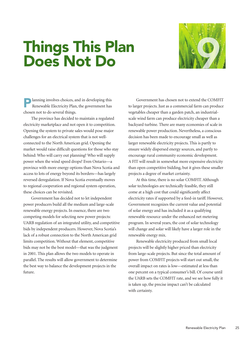# Things This Plan Things This Plan<br>Does Not Do



Planning involves choices, and in developing this Renewable Electricity Plan, the government has chosen not to do several things.

 The province has decided to maintain a regulated electricity marketplace and not open it to competition. Opening the system to private sales would pose major challenges for an electrical system that is not wellconnected to the North American grid. Opening the market would raise difficult questions for those who stay behind: Who will carry out planning? Who will supply power when the wind speed drops? Even Ontario—a province with more energy options than Nova Scotia and access to lots of energy beyond its borders—has largely reversed deregulation. If Nova Scotia eventually moves to regional cooperation and regional system operation, these choices can be revisited.

 Government has decided not to let independent power producers build all the medium and large-scale renewable energy projects. In essence, there are two competing models for selecting new power projects: UARB regulation of an integrated utility, and competitive bids by independent producers. However, Nova Scotia's lack of a robust connection to the North American grid limits competition. Without that element, competitive bids may not be the best model—that was the judgment in 2001. This plan allows the two models to operate in parallel. The results will allow government to determine the best way to balance the development projects in the future.

 Government has chosen not to extend the COMFIT to larger projects. Just as a commercial farm can produce vegetables cheaper than a garden patch, an industrialscale wind farm can produce electricity cheaper than a backyard turbine. There are many economies of scale in renewable power production. Nevertheless, a conscious decision has been made to encourage small as well as larger renewable electricity projects. This is partly to ensure widely dispersed energy sources, and partly to encourage rural community economic development. A FIT will result in somewhat more expensive electricity than open competitive bidding, but it gives these smaller projects a degree of market certainty.

At this time, there is no solar COMFIT. Although solar technologies are technically feasible, they still come at a high cost that could significantly affect electricity rates if supported by a feed-in tariff. However, Government recognizes the current value and potential of solar energy and has included it as a qualifying renewable resource under the enhanced net metering program. In several years, the cost of solar technology will change and solar will likely have a larger role in the renewable energy mix.

 Renewable electricity produced from small local projects will be slightly higher priced than electricity from large-scale projects. But since the total amount of power from COMFIT projects will start out small, the overall impact on rates is low—estimated at less than one percent on a typical consumer's bill. Of course until the UARB sets the COMFIT rate, and we see how fully it is taken up, the precise impact can't be calculated with certainty.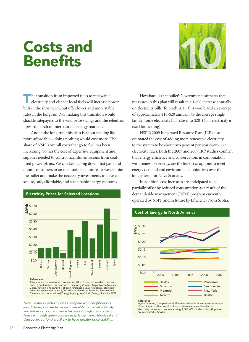# **Costs and<br>Benefits** Costs and 100



The transition from imported fuels to renewable<br>electricity and cleaner local fuels will increase power bills in the short term, but offer lower and more stable rates in the long run. *Not* making this transition would shackle ratepayers to the wild price swings and the relentless upward march of international energy markets.

 And in the long run, this plan is about making life more affordable—doing nothing would cost more. The share of NSPI's overall costs that go to fuel has been increasing. So has the cost of expensive equipment and supplies needed to control harmful emissions from coalfired power plants. We can keep going down that path and doom consumers to an unsustainable future, or we can bite the bullet and make the necessary investments to have a secure, safe, affordable, and sustainable energy economy.



Electricity Prices for Selected Locations

All prices are for residential consumers in 2007. Prices for Canadian cities are from Hydro Quebec, *Comparison of Electricity Prices in Major North American*

*Nova Scotia's electricity rates compare with neighbouring jurisdictions, but are far more vulnerable to market volatility and future carbon regulation because of high coal content. Areas with high green content (e.g. large hydro: Montreal and Vancouver, at right) are likely to have greater price stability.*

 How hard is that bullet? Government estimates that measures in this plan will result in a 1-2% increase annually on electricity bills. To reach 2015, this would add an average of approximately \$10-\$20 annually to the average single family home electricity bill (closer to \$20-\$40 if electricity is used for heating).

 NSPI's 2009 Integrated Resource Plan (IRP) also estimated the cost of adding more renewable electricity to the system to be about two percent per year over 2009 electricity rates. Both the 2007 and 2009 IRP studies confirm that energy efficiency and conservation, in combination with renewable energy, are the least cost options to meet energy demand and environmental objectives over the longer term for Nova Scotians.

 In addition, cost increases are anticipated to be partially offset by reduced consumption as a result of the demand-side management (DSM) program currently operated by NSPI, and in future by Efficiency Nova Scotia.





#### Reference

Hydro Quebec, *Comparison of Electricity Prices in Major North American Cities.* Rates in effect April 1 of each referenced year. Residential electricity prices for consumers using 1,000 kWh of electricity. All prices are measured in \$/kWh.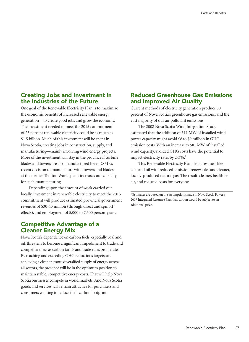#### Creating Jobs and Investment in the Industries of the Future

One goal of the Renewable Electricity Plan is to maximize the economic benefits of increased renewable energy generation—to create good jobs and grow the economy. The investment needed to meet the 2015 commitment of 25 percent renewable electricity could be as much as \$1.5 billion. Much of this investment will be spent in Nova Scotia, creating jobs in construction, supply, and manufacturing—mainly involving wind energy projects. More of the investment will stay in the province if turbine blades and towers are also manufactured here. DSME's recent decision to manufacture wind towers and blades at the former Trenton Works plant increases our capacity for such manufacturing.

 Depending upon the amount of work carried out locally, investment in renewable electricity to meet the 2015 commitment will produce estimated provincial government revenues of \$30-45 million (through direct and spinoff effects), and employment of 5,000 to 7,500 person-years.

#### Competitive Advantage of a Cleaner Energy Mix

Nova Scotia's dependence on carbon fuels, especially coal and oil, threatens to become a significant impediment to trade and competitiveness as carbon tariffs and trade rules proliferate. By reaching and exceeding GHG reductions targets, and achieving a cleaner, more diversified supply of energy across all sectors, the province will be in the optimum position to maintain stable, competitive energy costs. That will help Nova Scotia businesses compete in world markets.And Nova Scotia goods and services will remain attractive for purchasers and consumers wanting to reduce their carbon footprint.

#### Reduced Greenhouse Gas Emissions and Improved Air Quality

Current methods of electricity generation produce 50 percent of Nova Scotia's greenhouse gas emissions, and the vast majority of our air pollutant emissions.

 The 2008 Nova Scotia Wind Integration Study estimated that the addition of 311 MW of installed wind power capacity might avoid \$8 to \$9 million in GHG emission costs. With an increase to 581 MW of installed wind capacity, avoided GHG costs have the potential to impact electricity rates by 2-3%.<sup>2</sup>

 This Renewable Electricity Plan displaces fuels like coal and oil with reduced-emission renewables and cleaner, locally-produced natural gas. The result: cleaner, healthier air, and reduced costs for everyone.

<sup>2</sup> Estimates are based on the assumptions made in Nova Scotia Power's 2007 Integrated Resource Plan that carbon would be subject to an additional price.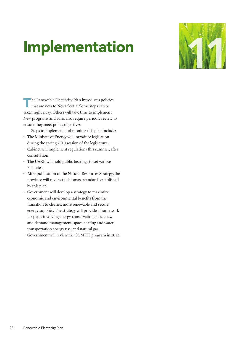### **Implementation**



The Renewable Electricity Plan introduces policies that are new to Nova Scotia. Some steps can be taken right away. Others will take time to implement. New programs and rules also require periodic review to ensure they meet policy objectives.

 Steps to implement and monitor this plan include:

- • The Minister of Energy will introduce legislation during the spring 2010 session of the legislature.
- • Cabinet will implement regulations this summer, after consultation.
- The UARB will hold public hearings to set various FIT rates.
- • After publication of the Natural Resources Strategy, the province will review the biomass standards established by this plan.
- • Government will develop a strategy to maximize economic and environmental benefits from the transition to cleaner, more renewable and secure energy supplies. The strategy will provide a framework for plans involving energy conservation, efficiency, and demand management; space heating and water; transportation energy use; and natural gas.
- • Government will review the COMFIT program in 2012.